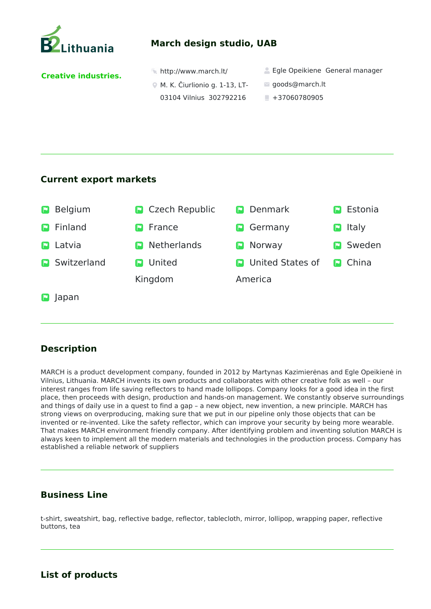

## **March design studio, UAB**

**Creative industries.** 

- 
- http://www.march.lt/ Egle Opeikiene General manager
- M. K. Čiurlionio g. 1-13, LT-
	- 03104 Vilnius 302792216
- goods@march.lt
	- $+37060780905$

## **Current export markets**

| P. | <b>Belgium</b>       | <b>D</b> Czech Republic | <b>D</b> Denmark          | Estonia<br>P                      |
|----|----------------------|-------------------------|---------------------------|-----------------------------------|
|    | Finland              | France<br>P             | Germany<br>P              | Italy<br>$\vert \mathbf{F} \vert$ |
|    | Latvia               | <b>Netherlands</b><br>P | Norway<br>P               | <b>D</b> Sweden                   |
|    | <b>D</b> Switzerland | United<br>P.            | <b>D</b> United States of | <b>D</b> China                    |
|    |                      | Kingdom                 | America                   |                                   |
| M  | Japan                |                         |                           |                                   |

## **Description**

MARCH is a product development company, founded in 2012 by Martynas Kazimierėnas and Egle Opeikienė in Vilnius, Lithuania. MARCH invents its own products and collaborates with other creative folk as well – our interest ranges from life saving reflectors to hand made lollipops. Company looks for a good idea in the first place, then proceeds with design, production and hands-on management. We constantly observe surroundings and things of daily use in a quest to find a gap – a new object, new invention, a new principle. MARCH has strong views on overproducing, making sure that we put in our pipeline only those objects that can be invented or re-invented. Like the safety reflector, which can improve your security by being more wearable. That makes MARCH environment friendly company. After identifying problem and inventing solution MARCH is always keen to implement all the modern materials and technologies in the production process. Company has established a reliable network of suppliers

## **Business Line**

t-shirt, sweatshirt, bag, reflective badge, reflector, tablecloth, mirror, lollipop, wrapping paper, reflective buttons, tea